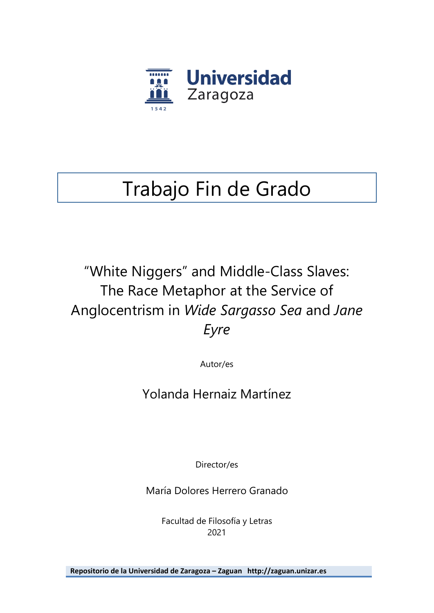

# Trabajo Fin de Grado

"White Niggers" and Middle-Class Slaves: The Race Metaphor at the Service of Anglocentrism in *Wide Sargasso Sea* and *Jane Eyre*

Autor/es

Yolanda Hernaiz Martínez

Director/es

María Dolores Herrero Granado

Facultad de Filosofía y Letras 2021

**Repositorio de la Universidad de Zaragoza – Zaguan http://zaguan.unizar.es**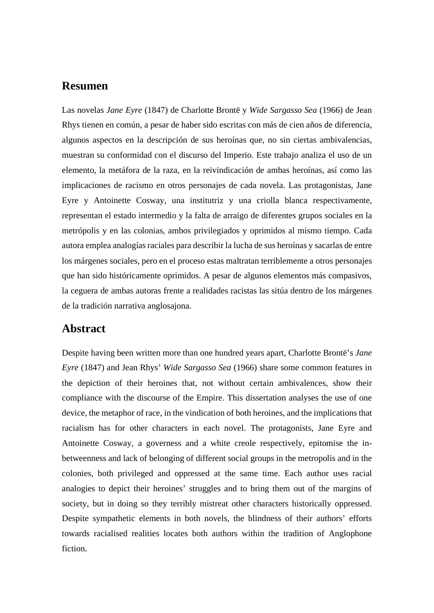#### **Resumen**

Las novelas *Jane Eyre* (1847) de Charlotte Brontë y *Wide Sargasso Sea* (1966) de Jean Rhys tienen en común, a pesar de haber sido escritas con más de cien años de diferencia, algunos aspectos en la descripción de sus heroínas que, no sin ciertas ambivalencias, muestran su conformidad con el discurso del Imperio. Este trabajo analiza el uso de un elemento, la metáfora de la raza, en la reivindicación de ambas heroínas, así como las implicaciones de racismo en otros personajes de cada novela. Las protagonistas, Jane Eyre y Antoinette Cosway, una institutriz y una criolla blanca respectivamente, representan el estado intermedio y la falta de arraigo de diferentes grupos sociales en la metrópolis y en las colonias, ambos privilegiados y oprimidos al mismo tiempo. Cada autora emplea analogías raciales para describir la lucha de sus heroínas y sacarlas de entre los márgenes sociales, pero en el proceso estas maltratan terriblemente a otros personajes que han sido históricamente oprimidos. A pesar de algunos elementos más compasivos, la ceguera de ambas autoras frente a realidades racistas las sitúa dentro de los márgenes de la tradición narrativa anglosajona.

#### **Abstract**

Despite having been written more than one hundred years apart, Charlotte Brontë's *Jane Eyre* (1847) and Jean Rhys' *Wide Sargasso Sea* (1966) share some common features in the depiction of their heroines that, not without certain ambivalences, show their compliance with the discourse of the Empire. This dissertation analyses the use of one device, the metaphor of race, in the vindication of both heroines, and the implications that racialism has for other characters in each novel. The protagonists, Jane Eyre and Antoinette Cosway, a governess and a white creole respectively, epitomise the inbetweenness and lack of belonging of different social groups in the metropolis and in the colonies, both privileged and oppressed at the same time. Each author uses racial analogies to depict their heroines' struggles and to bring them out of the margins of society, but in doing so they terribly mistreat other characters historically oppressed. Despite sympathetic elements in both novels, the blindness of their authors' efforts towards racialised realities locates both authors within the tradition of Anglophone fiction.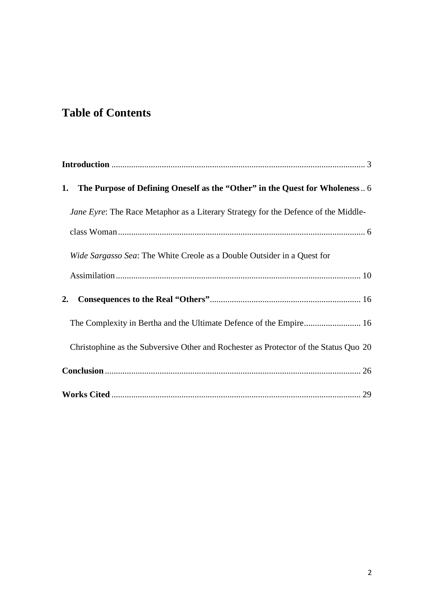### **Table of Contents**

| The Purpose of Defining Oneself as the "Other" in the Quest for Wholeness 6<br>1.    |
|--------------------------------------------------------------------------------------|
| Jane Eyre: The Race Metaphor as a Literary Strategy for the Defence of the Middle-   |
|                                                                                      |
| Wide Sargasso Sea: The White Creole as a Double Outsider in a Quest for              |
|                                                                                      |
| 2.                                                                                   |
| The Complexity in Bertha and the Ultimate Defence of the Empire 16                   |
| Christophine as the Subversive Other and Rochester as Protector of the Status Quo 20 |
|                                                                                      |
|                                                                                      |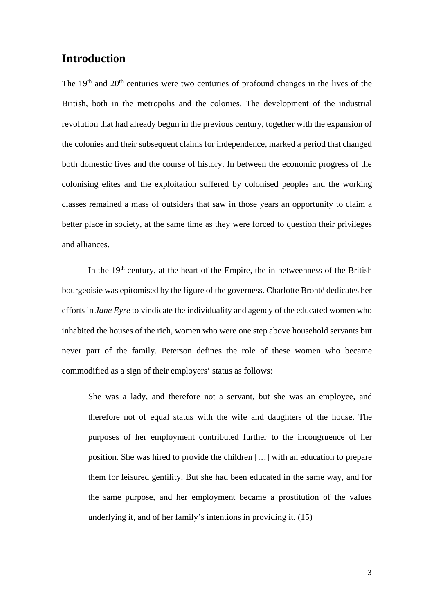#### <span id="page-3-0"></span>**Introduction**

The  $19<sup>th</sup>$  and  $20<sup>th</sup>$  centuries were two centuries of profound changes in the lives of the British, both in the metropolis and the colonies. The development of the industrial revolution that had already begun in the previous century, together with the expansion of the colonies and their subsequent claims for independence, marked a period that changed both domestic lives and the course of history. In between the economic progress of the colonising elites and the exploitation suffered by colonised peoples and the working classes remained a mass of outsiders that saw in those years an opportunity to claim a better place in society, at the same time as they were forced to question their privileges and alliances.

In the  $19<sup>th</sup>$  century, at the heart of the Empire, the in-betweenness of the British bourgeoisie was epitomised by the figure of the governess. Charlotte Brontë dedicates her efforts in *Jane Eyre* to vindicate the individuality and agency of the educated women who inhabited the houses of the rich, women who were one step above household servants but never part of the family. Peterson defines the role of these women who became commodified as a sign of their employers' status as follows:

She was a lady, and therefore not a servant, but she was an employee, and therefore not of equal status with the wife and daughters of the house. The purposes of her employment contributed further to the incongruence of her position. She was hired to provide the children […] with an education to prepare them for leisured gentility. But she had been educated in the same way, and for the same purpose, and her employment became a prostitution of the values underlying it, and of her family's intentions in providing it. (15)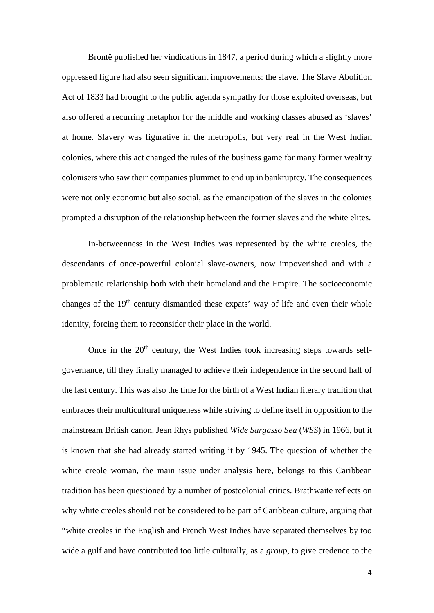Brontë published her vindications in 1847, a period during which a slightly more oppressed figure had also seen significant improvements: the slave. The Slave Abolition Act of 1833 had brought to the public agenda sympathy for those exploited overseas, but also offered a recurring metaphor for the middle and working classes abused as 'slaves' at home. Slavery was figurative in the metropolis, but very real in the West Indian colonies, where this act changed the rules of the business game for many former wealthy colonisers who saw their companies plummet to end up in bankruptcy. The consequences were not only economic but also social, as the emancipation of the slaves in the colonies prompted a disruption of the relationship between the former slaves and the white elites.

In-betweenness in the West Indies was represented by the white creoles, the descendants of once-powerful colonial slave-owners, now impoverished and with a problematic relationship both with their homeland and the Empire. The socioeconomic changes of the  $19<sup>th</sup>$  century dismantled these expats' way of life and even their whole identity, forcing them to reconsider their place in the world.

Once in the  $20<sup>th</sup>$  century, the West Indies took increasing steps towards selfgovernance, till they finally managed to achieve their independence in the second half of the last century. This was also the time for the birth of a West Indian literary tradition that embraces their multicultural uniqueness while striving to define itself in opposition to the mainstream British canon. Jean Rhys published *Wide Sargasso Sea* (*WSS*) in 1966, but it is known that she had already started writing it by 1945. The question of whether the white creole woman, the main issue under analysis here, belongs to this Caribbean tradition has been questioned by a number of postcolonial critics. Brathwaite reflects on why white creoles should not be considered to be part of Caribbean culture, arguing that "white creoles in the English and French West Indies have separated themselves by too wide a gulf and have contributed too little culturally, as a *group*, to give credence to the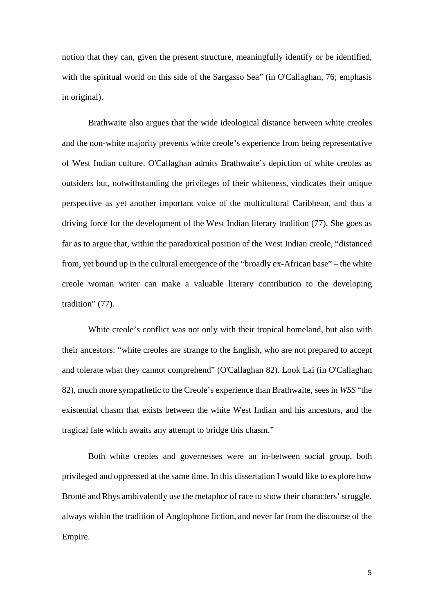notion that they can, given the present structure, meaningfully identify or be identified, with the spiritual world on this side of the Sargasso Sea" (in O'Callaghan, 76; emphasis in original).

Brathwaite also argues that the wide ideological distance between white creoles and the non-white majority prevents white creole's experience from being representative of West Indian culture. O'Callaghan admits Brathwaite's depiction of white creoles as outsiders but, notwithstanding the privileges of their whiteness, vindicates their unique perspective as yet another important voice of the multicultural Caribbean, and thus a driving force for the development of the West Indian literary tradition (77). She goes as far as to argue that, within the paradoxical position of the West Indian creole, "distanced from, yet bound up in the cultural emergence of the "broadly ex-African base" – the white creole woman writer can make a valuable literary contribution to the developing tradition" (77).

White creole's conflict was not only with their tropical homeland, but also with their ancestors: "white creoles are strange to the English, who are not prepared to accept and tolerate what they cannot comprehend" (O'Callaghan 82). Look Lai (in O'Callaghan 82), much more sympathetic to the Creole's experience than Brathwaite, sees in *WSS* "the existential chasm that exists between the white West Indian and his ancestors, and the tragical fate which awaits any attempt to bridge this chasm."

Both white creoles and governesses were an in-between social group, both privileged and oppressed at the same time. In this dissertation I would like to explore how Brontë and Rhys ambivalently use the metaphor of race to show their characters' struggle, always within the tradition of Anglophone fiction, and never far from the discourse of the Empire.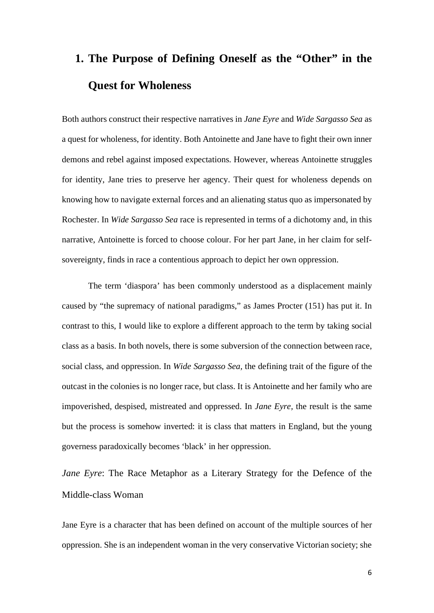## <span id="page-6-0"></span>**1. The Purpose of Defining Oneself as the "Other" in the Quest for Wholeness**

Both authors construct their respective narratives in *Jane Eyre* and *Wide Sargasso Sea* as a quest for wholeness, for identity. Both Antoinette and Jane have to fight their own inner demons and rebel against imposed expectations. However, whereas Antoinette struggles for identity, Jane tries to preserve her agency. Their quest for wholeness depends on knowing how to navigate external forces and an alienating status quo as impersonated by Rochester. In *Wide Sargasso Sea* race is represented in terms of a dichotomy and, in this narrative, Antoinette is forced to choose colour. For her part Jane, in her claim for selfsovereignty, finds in race a contentious approach to depict her own oppression.

The term 'diaspora' has been commonly understood as a displacement mainly caused by "the supremacy of national paradigms," as James Procter (151) has put it. In contrast to this, I would like to explore a different approach to the term by taking social class as a basis. In both novels, there is some subversion of the connection between race, social class, and oppression. In *Wide Sargasso Sea,* the defining trait of the figure of the outcast in the colonies is no longer race, but class. It is Antoinette and her family who are impoverished, despised, mistreated and oppressed. In *Jane Eyre,* the result is the same but the process is somehow inverted: it is class that matters in England, but the young governess paradoxically becomes 'black' in her oppression.

<span id="page-6-1"></span>*Jane Eyre*: The Race Metaphor as a Literary Strategy for the Defence of the Middle-class Woman

Jane Eyre is a character that has been defined on account of the multiple sources of her oppression. She is an independent woman in the very conservative Victorian society; she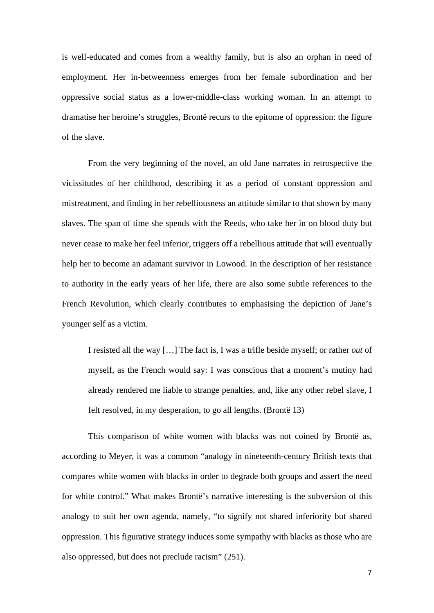is well-educated and comes from a wealthy family, but is also an orphan in need of employment. Her in-betweenness emerges from her female subordination and her oppressive social status as a lower-middle-class working woman. In an attempt to dramatise her heroine's struggles, Brontë recurs to the epitome of oppression: the figure of the slave.

From the very beginning of the novel, an old Jane narrates in retrospective the vicissitudes of her childhood, describing it as a period of constant oppression and mistreatment, and finding in her rebelliousness an attitude similar to that shown by many slaves. The span of time she spends with the Reeds, who take her in on blood duty but never cease to make her feel inferior, triggers off a rebellious attitude that will eventually help her to become an adamant survivor in Lowood. In the description of her resistance to authority in the early years of her life, there are also some subtle references to the French Revolution, which clearly contributes to emphasising the depiction of Jane's younger self as a victim.

I resisted all the way […] The fact is, I was a trifle beside myself; or rather *out* of myself, as the French would say: I was conscious that a moment's mutiny had already rendered me liable to strange penalties, and, like any other rebel slave, I felt resolved, in my desperation, to go all lengths. (Brontë 13)

This comparison of white women with blacks was not coined by Brontë as, according to Meyer, it was a common "analogy in nineteenth-century British texts that compares white women with blacks in order to degrade both groups and assert the need for white control." What makes Brontë's narrative interesting is the subversion of this analogy to suit her own agenda, namely, "to signify not shared inferiority but shared oppression. This figurative strategy induces some sympathy with blacks as those who are also oppressed, but does not preclude racism" (251).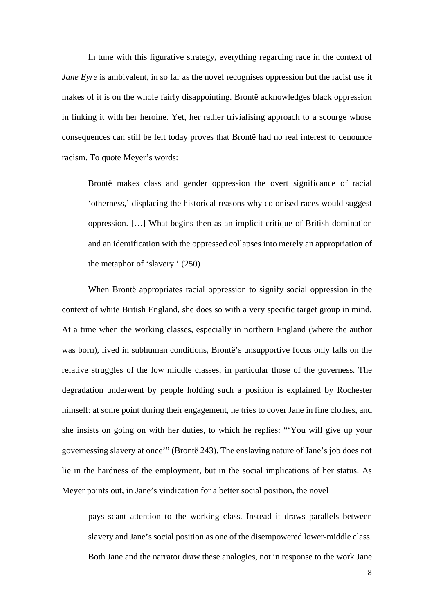In tune with this figurative strategy, everything regarding race in the context of *Jane Eyre* is ambivalent, in so far as the novel recognises oppression but the racist use it makes of it is on the whole fairly disappointing. Brontë acknowledges black oppression in linking it with her heroine. Yet, her rather trivialising approach to a scourge whose consequences can still be felt today proves that Brontë had no real interest to denounce racism. To quote Meyer's words:

Brontë makes class and gender oppression the overt significance of racial 'otherness,' displacing the historical reasons why colonised races would suggest oppression. […] What begins then as an implicit critique of British domination and an identification with the oppressed collapses into merely an appropriation of the metaphor of 'slavery.' (250)

When Brontë appropriates racial oppression to signify social oppression in the context of white British England, she does so with a very specific target group in mind. At a time when the working classes, especially in northern England (where the author was born), lived in subhuman conditions, Brontë's unsupportive focus only falls on the relative struggles of the low middle classes, in particular those of the governess. The degradation underwent by people holding such a position is explained by Rochester himself: at some point during their engagement, he tries to cover Jane in fine clothes, and she insists on going on with her duties, to which he replies: "'You will give up your governessing slavery at once'" (Brontë 243). The enslaving nature of Jane's job does not lie in the hardness of the employment, but in the social implications of her status. As Meyer points out, in Jane's vindication for a better social position, the novel

pays scant attention to the working class. Instead it draws parallels between slavery and Jane's social position as one of the disempowered lower-middle class. Both Jane and the narrator draw these analogies, not in response to the work Jane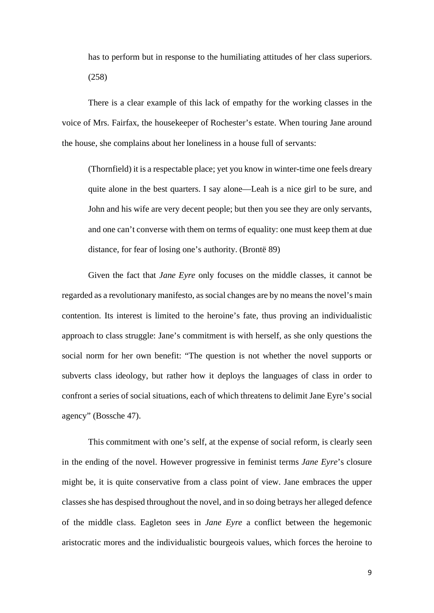has to perform but in response to the humiliating attitudes of her class superiors. (258)

There is a clear example of this lack of empathy for the working classes in the voice of Mrs. Fairfax, the housekeeper of Rochester's estate. When touring Jane around the house, she complains about her loneliness in a house full of servants:

(Thornfield) it is a respectable place; yet you know in winter-time one feels dreary quite alone in the best quarters. I say alone—Leah is a nice girl to be sure, and John and his wife are very decent people; but then you see they are only servants, and one can't converse with them on terms of equality: one must keep them at due distance, for fear of losing one's authority. (Brontë 89)

Given the fact that *Jane Eyre* only focuses on the middle classes, it cannot be regarded as a revolutionary manifesto, as social changes are by no means the novel's main contention. Its interest is limited to the heroine's fate, thus proving an individualistic approach to class struggle: Jane's commitment is with herself, as she only questions the social norm for her own benefit: "The question is not whether the novel supports or subverts class ideology, but rather how it deploys the languages of class in order to confront a series of social situations, each of which threatens to delimit Jane Eyre's social agency" (Bossche 47).

This commitment with one's self, at the expense of social reform, is clearly seen in the ending of the novel. However progressive in feminist terms *Jane Eyre*'s closure might be, it is quite conservative from a class point of view. Jane embraces the upper classes she has despised throughout the novel, and in so doing betrays her alleged defence of the middle class. Eagleton sees in *Jane Eyre* a conflict between the hegemonic aristocratic mores and the individualistic bourgeois values, which forces the heroine to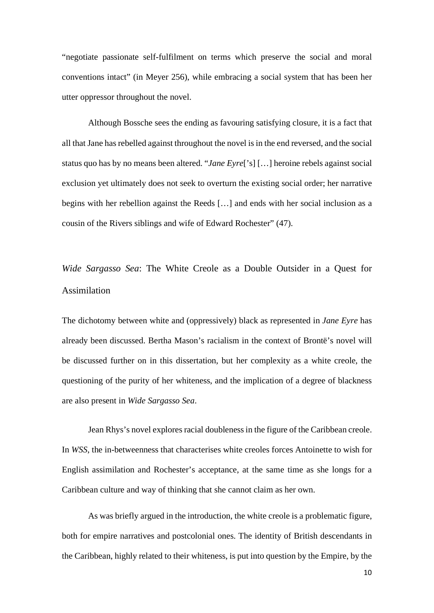"negotiate passionate self-fulfilment on terms which preserve the social and moral conventions intact" (in Meyer 256), while embracing a social system that has been her utter oppressor throughout the novel.

Although Bossche sees the ending as favouring satisfying closure, it is a fact that all that Jane has rebelled against throughout the novel is in the end reversed, and the social status quo has by no means been altered. "*Jane Eyre*['s] […] heroine rebels against social exclusion yet ultimately does not seek to overturn the existing social order; her narrative begins with her rebellion against the Reeds […] and ends with her social inclusion as a cousin of the Rivers siblings and wife of Edward Rochester" (47).

<span id="page-10-0"></span>*Wide Sargasso Sea*: The White Creole as a Double Outsider in a Quest for Assimilation

The dichotomy between white and (oppressively) black as represented in *Jane Eyre* has already been discussed. Bertha Mason's racialism in the context of Brontë's novel will be discussed further on in this dissertation, but her complexity as a white creole, the questioning of the purity of her whiteness, and the implication of a degree of blackness are also present in *Wide Sargasso Sea*.

Jean Rhys's novel explores racial doubleness in the figure of the Caribbean creole. In *WSS*, the in-betweenness that characterises white creoles forces Antoinette to wish for English assimilation and Rochester's acceptance, at the same time as she longs for a Caribbean culture and way of thinking that she cannot claim as her own.

As was briefly argued in the introduction, the white creole is a problematic figure, both for empire narratives and postcolonial ones. The identity of British descendants in the Caribbean, highly related to their whiteness, is put into question by the Empire, by the

10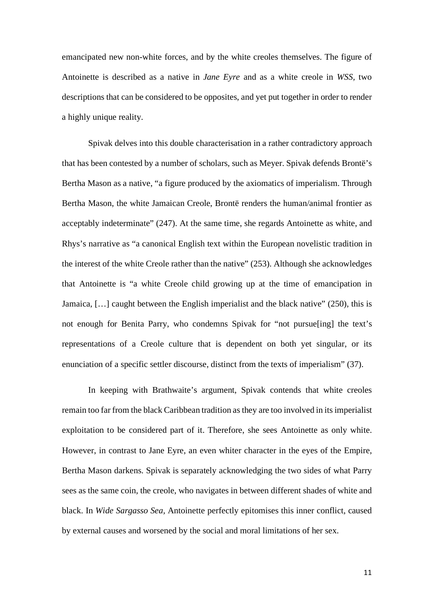emancipated new non-white forces, and by the white creoles themselves. The figure of Antoinette is described as a native in *Jane Eyre* and as a white creole in *WSS,* two descriptions that can be considered to be opposites, and yet put together in order to render a highly unique reality.

Spivak delves into this double characterisation in a rather contradictory approach that has been contested by a number of scholars, such as Meyer. Spivak defends Brontë's Bertha Mason as a native, "a figure produced by the axiomatics of imperialism. Through Bertha Mason, the white Jamaican Creole, Brontë renders the human/animal frontier as acceptably indeterminate" (247). At the same time, she regards Antoinette as white, and Rhys's narrative as "a canonical English text within the European novelistic tradition in the interest of the white Creole rather than the native" (253). Although she acknowledges that Antoinette is "a white Creole child growing up at the time of emancipation in Jamaica, […] caught between the English imperialist and the black native" (250), this is not enough for Benita Parry, who condemns Spivak for "not pursue[ing] the text's representations of a Creole culture that is dependent on both yet singular, or its enunciation of a specific settler discourse, distinct from the texts of imperialism" (37).

In keeping with Brathwaite's argument, Spivak contends that white creoles remain too far from the black Caribbean tradition as they are too involved in its imperialist exploitation to be considered part of it. Therefore, she sees Antoinette as only white. However, in contrast to Jane Eyre, an even whiter character in the eyes of the Empire, Bertha Mason darkens. Spivak is separately acknowledging the two sides of what Parry sees as the same coin, the creole, who navigates in between different shades of white and black. In *Wide Sargasso Sea,* Antoinette perfectly epitomises this inner conflict, caused by external causes and worsened by the social and moral limitations of her sex.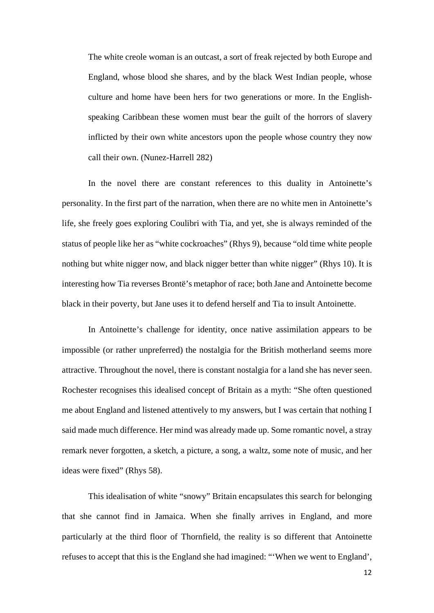The white creole woman is an outcast, a sort of freak rejected by both Europe and England, whose blood she shares, and by the black West Indian people, whose culture and home have been hers for two generations or more. In the Englishspeaking Caribbean these women must bear the guilt of the horrors of slavery inflicted by their own white ancestors upon the people whose country they now call their own. (Nunez-Harrell 282)

In the novel there are constant references to this duality in Antoinette's personality. In the first part of the narration, when there are no white men in Antoinette's life, she freely goes exploring Coulibri with Tia, and yet, she is always reminded of the status of people like her as "white cockroaches" (Rhys 9), because "old time white people nothing but white nigger now, and black nigger better than white nigger" (Rhys 10). It is interesting how Tia reverses Brontë's metaphor of race; both Jane and Antoinette become black in their poverty, but Jane uses it to defend herself and Tia to insult Antoinette.

In Antoinette's challenge for identity, once native assimilation appears to be impossible (or rather unpreferred) the nostalgia for the British motherland seems more attractive. Throughout the novel, there is constant nostalgia for a land she has never seen. Rochester recognises this idealised concept of Britain as a myth: "She often questioned me about England and listened attentively to my answers, but I was certain that nothing I said made much difference. Her mind was already made up. Some romantic novel, a stray remark never forgotten, a sketch, a picture, a song, a waltz, some note of music, and her ideas were fixed" (Rhys 58).

This idealisation of white "snowy" Britain encapsulates this search for belonging that she cannot find in Jamaica. When she finally arrives in England, and more particularly at the third floor of Thornfield, the reality is so different that Antoinette refuses to accept that this is the England she had imagined: "'When we went to England',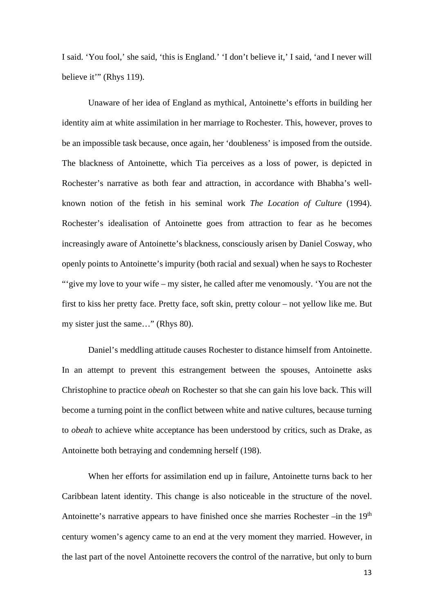I said. 'You fool,' she said, 'this is England.' 'I don't believe it,' I said, 'and I never will believe it" (Rhys 119).

Unaware of her idea of England as mythical, Antoinette's efforts in building her identity aim at white assimilation in her marriage to Rochester. This, however, proves to be an impossible task because, once again, her 'doubleness' is imposed from the outside. The blackness of Antoinette, which Tia perceives as a loss of power, is depicted in Rochester's narrative as both fear and attraction, in accordance with Bhabha's wellknown notion of the fetish in his seminal work *The Location of Culture* (1994). Rochester's idealisation of Antoinette goes from attraction to fear as he becomes increasingly aware of Antoinette's blackness, consciously arisen by Daniel Cosway, who openly points to Antoinette's impurity (both racial and sexual) when he says to Rochester "'give my love to your wife – my sister, he called after me venomously. 'You are not the first to kiss her pretty face. Pretty face, soft skin, pretty colour – not yellow like me. But my sister just the same…" (Rhys 80).

Daniel's meddling attitude causes Rochester to distance himself from Antoinette. In an attempt to prevent this estrangement between the spouses, Antoinette asks Christophine to practice *obeah* on Rochester so that she can gain his love back. This will become a turning point in the conflict between white and native cultures, because turning to *obeah* to achieve white acceptance has been understood by critics, such as Drake, as Antoinette both betraying and condemning herself (198).

When her efforts for assimilation end up in failure, Antoinette turns back to her Caribbean latent identity. This change is also noticeable in the structure of the novel. Antoinette's narrative appears to have finished once she marries Rochester –in the 19<sup>th</sup> century women's agency came to an end at the very moment they married. However, in the last part of the novel Antoinette recovers the control of the narrative, but only to burn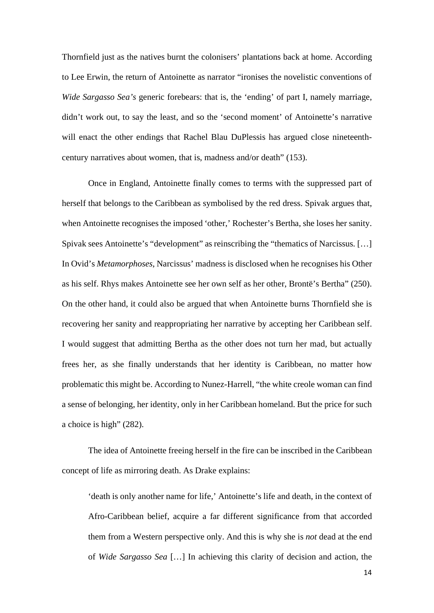Thornfield just as the natives burnt the colonisers' plantations back at home. According to Lee Erwin, the return of Antoinette as narrator "ironises the novelistic conventions of *Wide Sargasso Sea's* generic forebears: that is, the 'ending' of part I, namely marriage, didn't work out, to say the least, and so the 'second moment' of Antoinette's narrative will enact the other endings that Rachel Blau DuPlessis has argued close nineteenthcentury narratives about women, that is, madness and/or death" (153).

Once in England, Antoinette finally comes to terms with the suppressed part of herself that belongs to the Caribbean as symbolised by the red dress. Spivak argues that, when Antoinette recognises the imposed 'other,' Rochester's Bertha, she loses her sanity. Spivak sees Antoinette's "development" as reinscribing the "thematics of Narcissus. […] In Ovid's *Metamorphoses*, Narcissus' madness is disclosed when he recognises his Other as his self. Rhys makes Antoinette see her own self as her other, Brontë's Bertha" (250). On the other hand, it could also be argued that when Antoinette burns Thornfield she is recovering her sanity and reappropriating her narrative by accepting her Caribbean self. I would suggest that admitting Bertha as the other does not turn her mad, but actually frees her, as she finally understands that her identity is Caribbean, no matter how problematic this might be. According to Nunez-Harrell, "the white creole woman can find a sense of belonging, her identity, only in her Caribbean homeland. But the price for such a choice is high" (282).

The idea of Antoinette freeing herself in the fire can be inscribed in the Caribbean concept of life as mirroring death. As Drake explains:

'death is only another name for life,' Antoinette's life and death, in the context of Afro-Caribbean belief, acquire a far different significance from that accorded them from a Western perspective only. And this is why she is *not* dead at the end of *Wide Sargasso Sea* […] In achieving this clarity of decision and action, the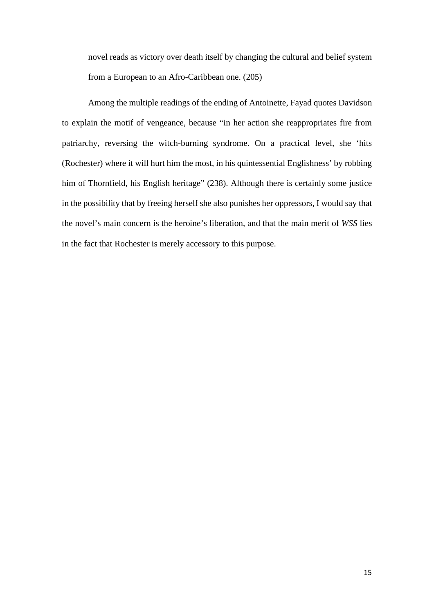novel reads as victory over death itself by changing the cultural and belief system from a European to an Afro-Caribbean one. (205)

Among the multiple readings of the ending of Antoinette, Fayad quotes Davidson to explain the motif of vengeance, because "in her action she reappropriates fire from patriarchy, reversing the witch-burning syndrome. On a practical level, she 'hits (Rochester) where it will hurt him the most, in his quintessential Englishness' by robbing him of Thornfield, his English heritage" (238). Although there is certainly some justice in the possibility that by freeing herself she also punishes her oppressors, I would say that the novel's main concern is the heroine's liberation, and that the main merit of *WSS* lies in the fact that Rochester is merely accessory to this purpose.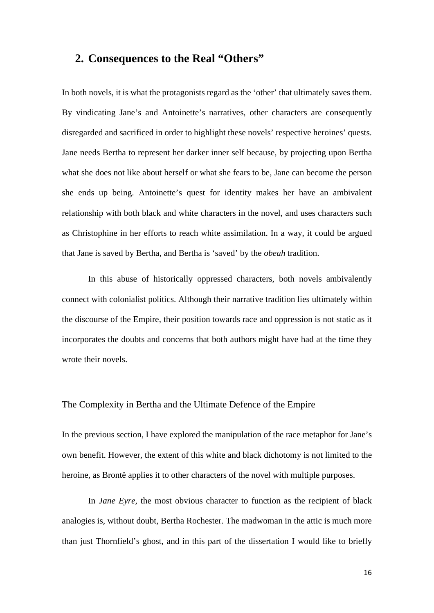#### <span id="page-16-0"></span>**2. Consequences to the Real "Others"**

In both novels, it is what the protagonists regard as the 'other' that ultimately saves them. By vindicating Jane's and Antoinette's narratives, other characters are consequently disregarded and sacrificed in order to highlight these novels' respective heroines' quests. Jane needs Bertha to represent her darker inner self because, by projecting upon Bertha what she does not like about herself or what she fears to be, Jane can become the person she ends up being. Antoinette's quest for identity makes her have an ambivalent relationship with both black and white characters in the novel, and uses characters such as Christophine in her efforts to reach white assimilation. In a way, it could be argued that Jane is saved by Bertha, and Bertha is 'saved' by the *obeah* tradition.

In this abuse of historically oppressed characters, both novels ambivalently connect with colonialist politics. Although their narrative tradition lies ultimately within the discourse of the Empire, their position towards race and oppression is not static as it incorporates the doubts and concerns that both authors might have had at the time they wrote their novels.

#### <span id="page-16-1"></span>The Complexity in Bertha and the Ultimate Defence of the Empire

In the previous section, I have explored the manipulation of the race metaphor for Jane's own benefit. However, the extent of this white and black dichotomy is not limited to the heroine, as Brontë applies it to other characters of the novel with multiple purposes.

In *Jane Eyre*, the most obvious character to function as the recipient of black analogies is, without doubt, Bertha Rochester. The madwoman in the attic is much more than just Thornfield's ghost, and in this part of the dissertation I would like to briefly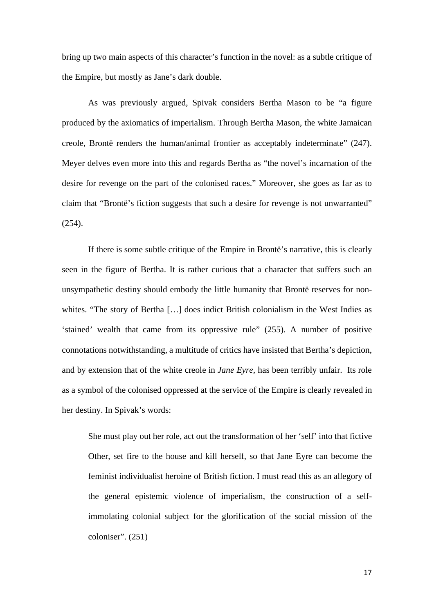bring up two main aspects of this character's function in the novel: as a subtle critique of the Empire, but mostly as Jane's dark double.

As was previously argued, Spivak considers Bertha Mason to be "a figure produced by the axiomatics of imperialism. Through Bertha Mason, the white Jamaican creole, Brontë renders the human/animal frontier as acceptably indeterminate" (247). Meyer delves even more into this and regards Bertha as "the novel's incarnation of the desire for revenge on the part of the colonised races." Moreover, she goes as far as to claim that "Brontë's fiction suggests that such a desire for revenge is not unwarranted" (254).

If there is some subtle critique of the Empire in Brontë's narrative, this is clearly seen in the figure of Bertha. It is rather curious that a character that suffers such an unsympathetic destiny should embody the little humanity that Brontë reserves for nonwhites. "The story of Bertha [...] does indict British colonialism in the West Indies as 'stained' wealth that came from its oppressive rule" (255). A number of positive connotations notwithstanding, a multitude of critics have insisted that Bertha's depiction, and by extension that of the white creole in *Jane Eyre,* has been terribly unfair. Its role as a symbol of the colonised oppressed at the service of the Empire is clearly revealed in her destiny. In Spivak's words:

She must play out her role, act out the transformation of her 'self' into that fictive Other, set fire to the house and kill herself, so that Jane Eyre can become the feminist individualist heroine of British fiction. I must read this as an allegory of the general epistemic violence of imperialism, the construction of a selfimmolating colonial subject for the glorification of the social mission of the coloniser". (251)

17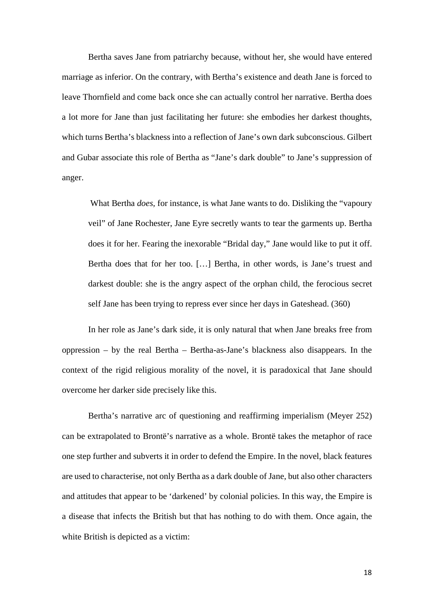Bertha saves Jane from patriarchy because, without her, she would have entered marriage as inferior. On the contrary, with Bertha's existence and death Jane is forced to leave Thornfield and come back once she can actually control her narrative. Bertha does a lot more for Jane than just facilitating her future: she embodies her darkest thoughts, which turns Bertha's blackness into a reflection of Jane's own dark subconscious. Gilbert and Gubar associate this role of Bertha as "Jane's dark double" to Jane's suppression of anger.

What Bertha *does*, for instance, is what Jane wants to do. Disliking the "vapoury" veil" of Jane Rochester, Jane Eyre secretly wants to tear the garments up. Bertha does it for her. Fearing the inexorable "Bridal day," Jane would like to put it off. Bertha does that for her too. […] Bertha, in other words, is Jane's truest and darkest double: she is the angry aspect of the orphan child, the ferocious secret self Jane has been trying to repress ever since her days in Gateshead. (360)

In her role as Jane's dark side, it is only natural that when Jane breaks free from oppression – by the real Bertha – Bertha-as-Jane's blackness also disappears. In the context of the rigid religious morality of the novel, it is paradoxical that Jane should overcome her darker side precisely like this.

Bertha's narrative arc of questioning and reaffirming imperialism (Meyer 252) can be extrapolated to Brontë's narrative as a whole. Brontë takes the metaphor of race one step further and subverts it in order to defend the Empire. In the novel, black features are used to characterise, not only Bertha as a dark double of Jane, but also other characters and attitudes that appear to be 'darkened' by colonial policies. In this way, the Empire is a disease that infects the British but that has nothing to do with them. Once again, the white British is depicted as a victim: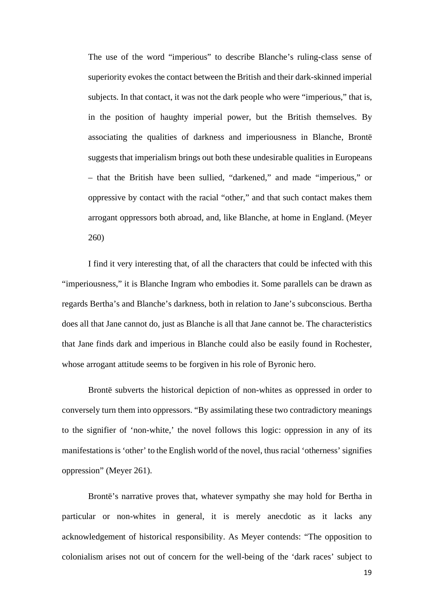The use of the word "imperious" to describe Blanche's ruling-class sense of superiority evokes the contact between the British and their dark-skinned imperial subjects. In that contact, it was not the dark people who were "imperious," that is, in the position of haughty imperial power, but the British themselves. By associating the qualities of darkness and imperiousness in Blanche, Brontë suggests that imperialism brings out both these undesirable qualities in Europeans – that the British have been sullied, "darkened," and made "imperious," or oppressive by contact with the racial "other," and that such contact makes them arrogant oppressors both abroad, and, like Blanche, at home in England. (Meyer 260)

I find it very interesting that, of all the characters that could be infected with this "imperiousness," it is Blanche Ingram who embodies it. Some parallels can be drawn as regards Bertha's and Blanche's darkness, both in relation to Jane's subconscious. Bertha does all that Jane cannot do, just as Blanche is all that Jane cannot be. The characteristics that Jane finds dark and imperious in Blanche could also be easily found in Rochester, whose arrogant attitude seems to be forgiven in his role of Byronic hero.

Brontë subverts the historical depiction of non-whites as oppressed in order to conversely turn them into oppressors. "By assimilating these two contradictory meanings to the signifier of 'non-white,' the novel follows this logic: oppression in any of its manifestations is 'other' to the English world of the novel, thus racial 'otherness' signifies oppression" (Meyer 261).

Brontë's narrative proves that, whatever sympathy she may hold for Bertha in particular or non-whites in general, it is merely anecdotic as it lacks any acknowledgement of historical responsibility. As Meyer contends: "The opposition to colonialism arises not out of concern for the well-being of the 'dark races' subject to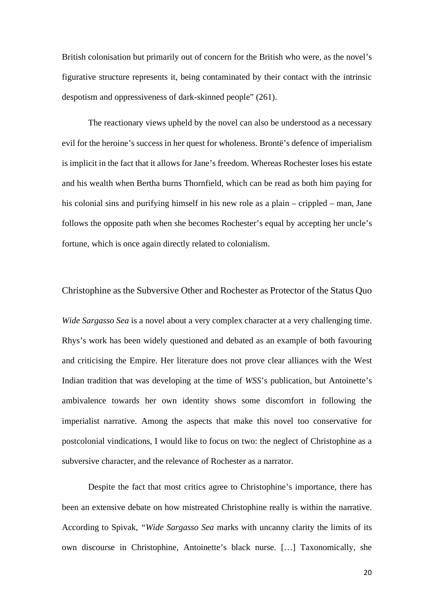British colonisation but primarily out of concern for the British who were, as the novel's figurative structure represents it, being contaminated by their contact with the intrinsic despotism and oppressiveness of dark-skinned people" (261).

The reactionary views upheld by the novel can also be understood as a necessary evil for the heroine's success in her quest for wholeness. Brontë's defence of imperialism is implicit in the fact that it allows for Jane's freedom. Whereas Rochester loses his estate and his wealth when Bertha burns Thornfield, which can be read as both him paying for his colonial sins and purifying himself in his new role as a plain – crippled – man, Jane follows the opposite path when she becomes Rochester's equal by accepting her uncle's fortune, which is once again directly related to colonialism.

#### <span id="page-20-0"></span>Christophine as the Subversive Other and Rochester as Protector of the Status Quo

*Wide Sargasso Sea* is a novel about a very complex character at a very challenging time. Rhys's work has been widely questioned and debated as an example of both favouring and criticising the Empire. Her literature does not prove clear alliances with the West Indian tradition that was developing at the time of *WSS*'s publication, but Antoinette's ambivalence towards her own identity shows some discomfort in following the imperialist narrative. Among the aspects that make this novel too conservative for postcolonial vindications, I would like to focus on two: the neglect of Christophine as a subversive character, and the relevance of Rochester as a narrator.

Despite the fact that most critics agree to Christophine's importance, there has been an extensive debate on how mistreated Christophine really is within the narrative. According to Spivak, *"Wide Sargasso Sea* marks with uncanny clarity the limits of its own discourse in Christophine, Antoinette's black nurse. […] Taxonomically, she

20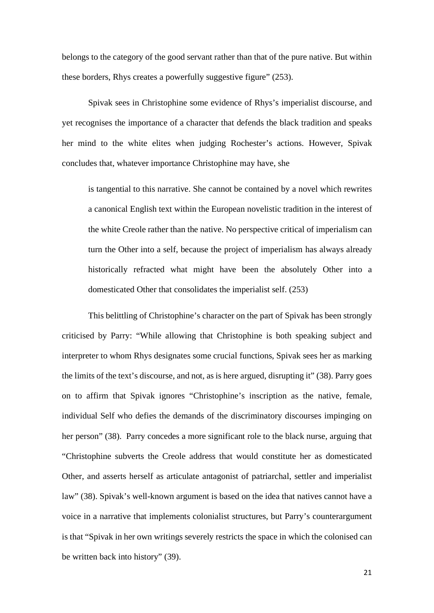belongs to the category of the good servant rather than that of the pure native. But within these borders, Rhys creates a powerfully suggestive figure" (253).

Spivak sees in Christophine some evidence of Rhys's imperialist discourse, and yet recognises the importance of a character that defends the black tradition and speaks her mind to the white elites when judging Rochester's actions. However, Spivak concludes that, whatever importance Christophine may have, she

is tangential to this narrative. She cannot be contained by a novel which rewrites a canonical English text within the European novelistic tradition in the interest of the white Creole rather than the native. No perspective critical of imperialism can turn the Other into a self, because the project of imperialism has always already historically refracted what might have been the absolutely Other into a domesticated Other that consolidates the imperialist self. (253)

This belittling of Christophine's character on the part of Spivak has been strongly criticised by Parry: "While allowing that Christophine is both speaking subject and interpreter to whom Rhys designates some crucial functions, Spivak sees her as marking the limits of the text's discourse, and not, as is here argued, disrupting it" (38). Parry goes on to affirm that Spivak ignores "Christophine's inscription as the native, female, individual Self who defies the demands of the discriminatory discourses impinging on her person" (38). Parry concedes a more significant role to the black nurse, arguing that "Christophine subverts the Creole address that would constitute her as domesticated Other, and asserts herself as articulate antagonist of patriarchal, settler and imperialist law" (38). Spivak's well-known argument is based on the idea that natives cannot have a voice in a narrative that implements colonialist structures, but Parry's counterargument is that "Spivak in her own writings severely restricts the space in which the colonised can be written back into history" (39).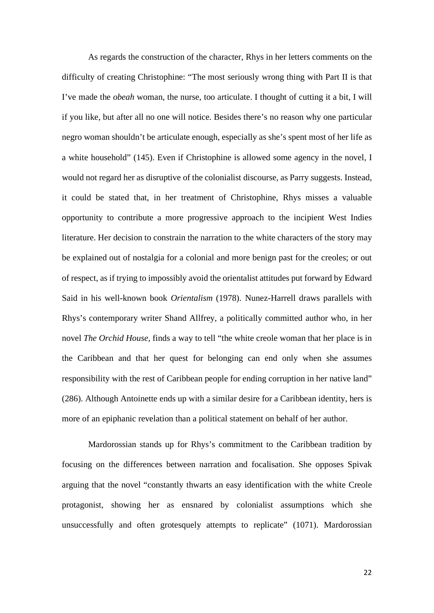As regards the construction of the character, Rhys in her letters comments on the difficulty of creating Christophine: "The most seriously wrong thing with Part II is that I've made the *obeah* woman, the nurse, too articulate. I thought of cutting it a bit, I will if you like, but after all no one will notice. Besides there's no reason why one particular negro woman shouldn't be articulate enough, especially as she's spent most of her life as a white household" (145). Even if Christophine is allowed some agency in the novel, I would not regard her as disruptive of the colonialist discourse, as Parry suggests. Instead, it could be stated that, in her treatment of Christophine, Rhys misses a valuable opportunity to contribute a more progressive approach to the incipient West Indies literature. Her decision to constrain the narration to the white characters of the story may be explained out of nostalgia for a colonial and more benign past for the creoles; or out of respect, as if trying to impossibly avoid the orientalist attitudes put forward by Edward Said in his well-known book *Orientalism* (1978). Nunez-Harrell draws parallels with Rhys's contemporary writer Shand Allfrey, a politically committed author who, in her novel *The Orchid House,* finds a way to tell "the white creole woman that her place is in the Caribbean and that her quest for belonging can end only when she assumes responsibility with the rest of Caribbean people for ending corruption in her native land" (286). Although Antoinette ends up with a similar desire for a Caribbean identity, hers is more of an epiphanic revelation than a political statement on behalf of her author.

Mardorossian stands up for Rhys's commitment to the Caribbean tradition by focusing on the differences between narration and focalisation. She opposes Spivak arguing that the novel "constantly thwarts an easy identification with the white Creole protagonist, showing her as ensnared by colonialist assumptions which she unsuccessfully and often grotesquely attempts to replicate" (1071). Mardorossian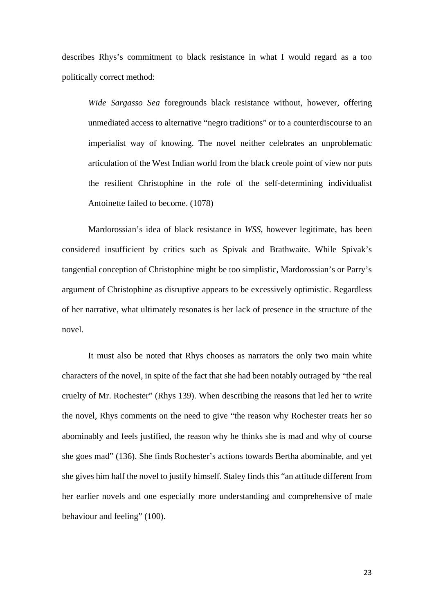describes Rhys's commitment to black resistance in what I would regard as a too politically correct method:

*Wide Sargasso Sea* foregrounds black resistance without, however, offering unmediated access to alternative "negro traditions" or to a counterdiscourse to an imperialist way of knowing. The novel neither celebrates an unproblematic articulation of the West Indian world from the black creole point of view nor puts the resilient Christophine in the role of the self-determining individualist Antoinette failed to become. (1078)

Mardorossian's idea of black resistance in *WSS*, however legitimate, has been considered insufficient by critics such as Spivak and Brathwaite. While Spivak's tangential conception of Christophine might be too simplistic, Mardorossian's or Parry's argument of Christophine as disruptive appears to be excessively optimistic. Regardless of her narrative, what ultimately resonates is her lack of presence in the structure of the novel.

It must also be noted that Rhys chooses as narrators the only two main white characters of the novel, in spite of the fact that she had been notably outraged by "the real cruelty of Mr. Rochester" (Rhys 139). When describing the reasons that led her to write the novel, Rhys comments on the need to give "the reason why Rochester treats her so abominably and feels justified, the reason why he thinks she is mad and why of course she goes mad" (136). She finds Rochester's actions towards Bertha abominable, and yet she gives him half the novel to justify himself. Staley finds this "an attitude different from her earlier novels and one especially more understanding and comprehensive of male behaviour and feeling" (100).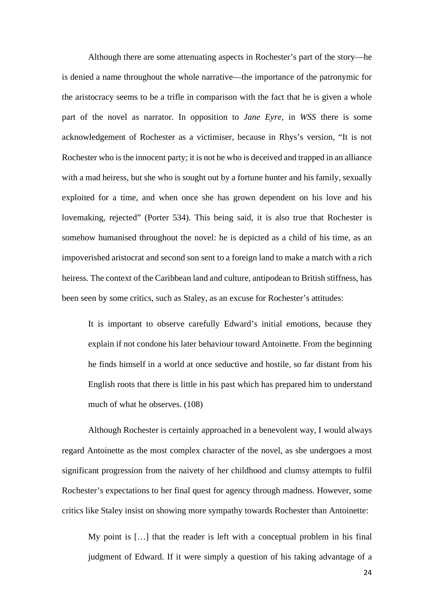Although there are some attenuating aspects in Rochester's part of the story—he is denied a name throughout the whole narrative—the importance of the patronymic for the aristocracy seems to be a trifle in comparison with the fact that he is given a whole part of the novel as narrator. In opposition to *Jane Eyre,* in *WSS* there is some acknowledgement of Rochester as a victimiser, because in Rhys's version, "It is not Rochester who is the innocent party; it is not he who is deceived and trapped in an alliance with a mad heiress, but she who is sought out by a fortune hunter and his family, sexually exploited for a time, and when once she has grown dependent on his love and his lovemaking, rejected" (Porter 534). This being said, it is also true that Rochester is somehow humanised throughout the novel: he is depicted as a child of his time, as an impoverished aristocrat and second son sent to a foreign land to make a match with a rich heiress. The context of the Caribbean land and culture, antipodean to British stiffness, has been seen by some critics, such as Staley, as an excuse for Rochester's attitudes:

It is important to observe carefully Edward's initial emotions, because they explain if not condone his later behaviour toward Antoinette. From the beginning he finds himself in a world at once seductive and hostile, so far distant from his English roots that there is little in his past which has prepared him to understand much of what he observes. (108)

Although Rochester is certainly approached in a benevolent way, I would always regard Antoinette as the most complex character of the novel, as she undergoes a most significant progression from the naivety of her childhood and clumsy attempts to fulfil Rochester's expectations to her final quest for agency through madness. However, some critics like Staley insist on showing more sympathy towards Rochester than Antoinette:

My point is […] that the reader is left with a conceptual problem in his final judgment of Edward. If it were simply a question of his taking advantage of a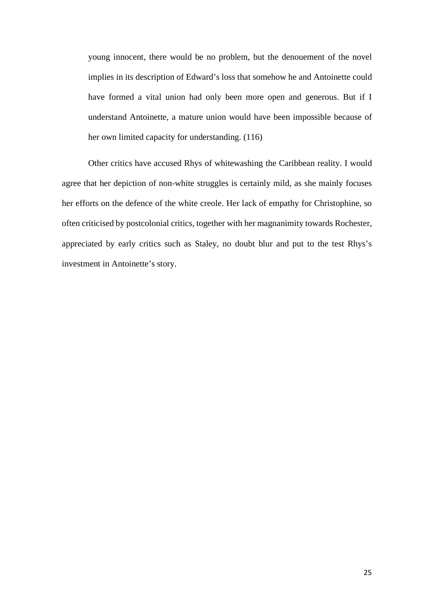young innocent, there would be no problem, but the denouement of the novel implies in its description of Edward's loss that somehow he and Antoinette could have formed a vital union had only been more open and generous. But if I understand Antoinette, a mature union would have been impossible because of her own limited capacity for understanding. (116)

Other critics have accused Rhys of whitewashing the Caribbean reality. I would agree that her depiction of non-white struggles is certainly mild, as she mainly focuses her efforts on the defence of the white creole. Her lack of empathy for Christophine, so often criticised by postcolonial critics, together with her magnanimity towards Rochester, appreciated by early critics such as Staley, no doubt blur and put to the test Rhys's investment in Antoinette's story.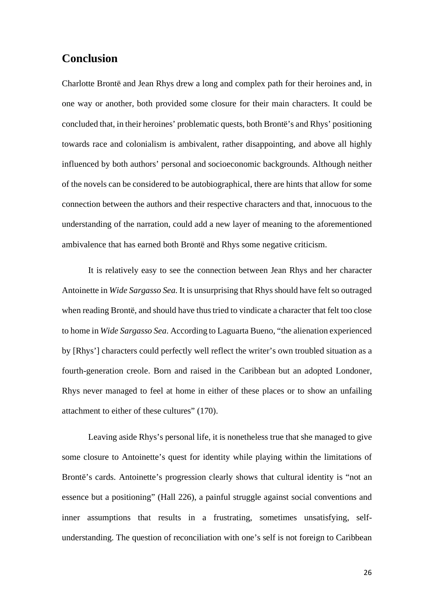#### <span id="page-26-0"></span>**Conclusion**

Charlotte Brontë and Jean Rhys drew a long and complex path for their heroines and, in one way or another, both provided some closure for their main characters. It could be concluded that, in their heroines' problematic quests, both Brontë's and Rhys' positioning towards race and colonialism is ambivalent, rather disappointing, and above all highly influenced by both authors' personal and socioeconomic backgrounds. Although neither of the novels can be considered to be autobiographical, there are hints that allow for some connection between the authors and their respective characters and that, innocuous to the understanding of the narration, could add a new layer of meaning to the aforementioned ambivalence that has earned both Brontë and Rhys some negative criticism.

It is relatively easy to see the connection between Jean Rhys and her character Antoinette in *Wide Sargasso Sea.* It is unsurprising that Rhys should have felt so outraged when reading Brontë, and should have thus tried to vindicate a character that felt too close to home in *Wide Sargasso Sea*. According to Laguarta Bueno, "the alienation experienced by [Rhys'] characters could perfectly well reflect the writer's own troubled situation as a fourth-generation creole. Born and raised in the Caribbean but an adopted Londoner, Rhys never managed to feel at home in either of these places or to show an unfailing attachment to either of these cultures" (170).

Leaving aside Rhys's personal life, it is nonetheless true that she managed to give some closure to Antoinette's quest for identity while playing within the limitations of Brontë's cards. Antoinette's progression clearly shows that cultural identity is "not an essence but a positioning" (Hall 226), a painful struggle against social conventions and inner assumptions that results in a frustrating, sometimes unsatisfying, selfunderstanding. The question of reconciliation with one's self is not foreign to Caribbean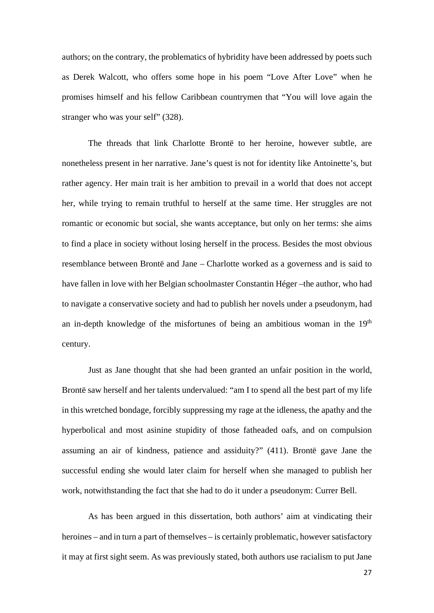authors; on the contrary, the problematics of hybridity have been addressed by poets such as Derek Walcott, who offers some hope in his poem "Love After Love" when he promises himself and his fellow Caribbean countrymen that "You will love again the stranger who was your self" (328).

The threads that link Charlotte Brontë to her heroine, however subtle, are nonetheless present in her narrative. Jane's quest is not for identity like Antoinette's, but rather agency. Her main trait is her ambition to prevail in a world that does not accept her, while trying to remain truthful to herself at the same time. Her struggles are not romantic or economic but social, she wants acceptance, but only on her terms: she aims to find a place in society without losing herself in the process. Besides the most obvious resemblance between Brontë and Jane – Charlotte worked as a governess and is said to have fallen in love with her Belgian schoolmaster Constantin Héger –the author, who had to navigate a conservative society and had to publish her novels under a pseudonym, had an in-depth knowledge of the misfortunes of being an ambitious woman in the  $19<sup>th</sup>$ century.

Just as Jane thought that she had been granted an unfair position in the world, Brontë saw herself and her talents undervalued: "am I to spend all the best part of my life in this wretched bondage, forcibly suppressing my rage at the idleness, the apathy and the hyperbolical and most asinine stupidity of those fatheaded oafs, and on compulsion assuming an air of kindness, patience and assiduity?" (411). Brontë gave Jane the successful ending she would later claim for herself when she managed to publish her work, notwithstanding the fact that she had to do it under a pseudonym: Currer Bell.

As has been argued in this dissertation, both authors' aim at vindicating their heroines – and in turn a part of themselves – is certainly problematic, however satisfactory it may at first sight seem. As was previously stated, both authors use racialism to put Jane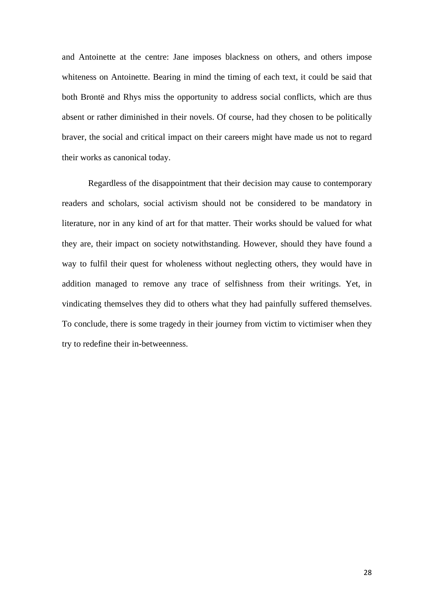and Antoinette at the centre: Jane imposes blackness on others, and others impose whiteness on Antoinette. Bearing in mind the timing of each text, it could be said that both Brontë and Rhys miss the opportunity to address social conflicts, which are thus absent or rather diminished in their novels. Of course, had they chosen to be politically braver, the social and critical impact on their careers might have made us not to regard their works as canonical today.

<span id="page-28-0"></span>Regardless of the disappointment that their decision may cause to contemporary readers and scholars, social activism should not be considered to be mandatory in literature, nor in any kind of art for that matter. Their works should be valued for what they are, their impact on society notwithstanding. However, should they have found a way to fulfil their quest for wholeness without neglecting others, they would have in addition managed to remove any trace of selfishness from their writings. Yet, in vindicating themselves they did to others what they had painfully suffered themselves. To conclude, there is some tragedy in their journey from victim to victimiser when they try to redefine their in-betweenness.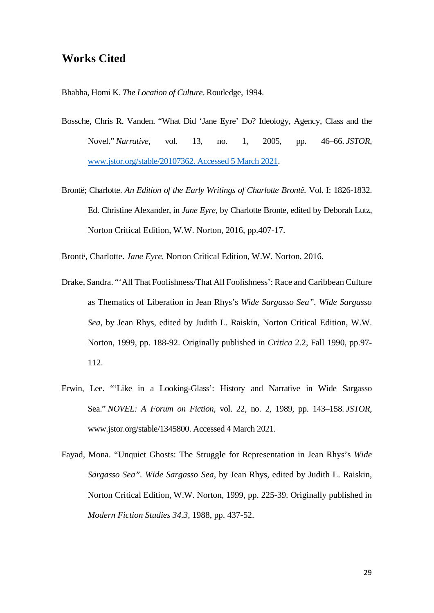#### **Works Cited**

Bhabha, Homi K. *The Location of Culture*. Routledge, 1994.

- Bossche, Chris R. Vanden. "What Did 'Jane Eyre' Do? Ideology, Agency, Class and the Novel." *Narrative*, vol. 13, no. 1, 2005, pp. 46–66. *JSTOR*, [www.jstor.org/stable/20107362. Accessed 5 March 2021.](http://www.jstor.org/stable/20107362.%20Accessed%205%20March%202021)
- Brontë; Charlotte. *An Edition of the Early Writings of Charlotte Brontë.* Vol. I: 1826-1832. Ed. Christine Alexander, in *Jane Eyre,* by Charlotte Bronte, edited by Deborah Lutz, Norton Critical Edition, W.W. Norton, 2016, pp.407-17.

Brontë, Charlotte. *Jane Eyre.* Norton Critical Edition, W.W. Norton, 2016.

- Drake, Sandra. "'All That Foolishness/That All Foolishness': Race and Caribbean Culture as Thematics of Liberation in Jean Rhys's *Wide Sargasso Sea". Wide Sargasso Sea,* by Jean Rhys, edited by Judith L. Raiskin, Norton Critical Edition, W.W. Norton, 1999, pp. 188-92. Originally published in *Critica* 2.2, Fall 1990, pp.97- 112.
- Erwin, Lee. "'Like in a Looking-Glass': History and Narrative in Wide Sargasso Sea." *NOVEL: A Forum on Fiction*, vol. 22, no. 2, 1989, pp. 143–158. *JSTOR*, www.jstor.org/stable/1345800. Accessed 4 March 2021.
- Fayad, Mona. "Unquiet Ghosts: The Struggle for Representation in Jean Rhys's *Wide Sargasso Sea". Wide Sargasso Sea,* by Jean Rhys, edited by Judith L. Raiskin, Norton Critical Edition, W.W. Norton, 1999, pp. 225-39. Originally published in *Modern Fiction Studies 34.3,* 1988, pp. 437-52.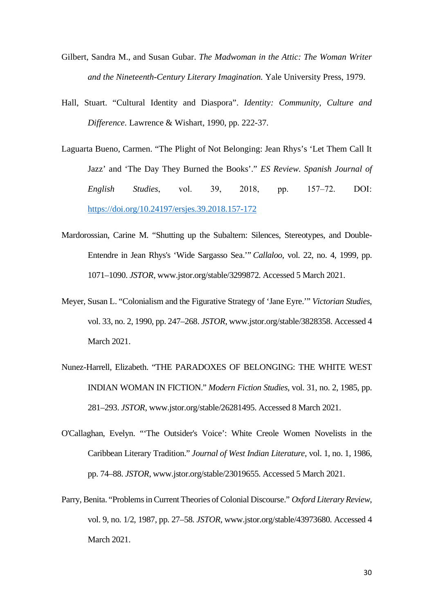- Gilbert, Sandra M., and Susan Gubar. *The Madwoman in the Attic: The Woman Writer and the Nineteenth-Century Literary Imagination.* Yale University Press, 1979.
- Hall, Stuart. "Cultural Identity and Diaspora". *Identity: Community, Culture and Difference.* Lawrence & Wishart, 1990, pp. 222-37.
- Laguarta Bueno, Carmen. "The Plight of Not Belonging: Jean Rhys's 'Let Them Call It Jazz' and 'The Day They Burned the Books'." *ES Review. Spanish Journal of English Studies*, vol. 39, 2018, pp. 157‒72. DOI: <https://doi.org/10.24197/ersjes.39.2018.157-172>
- Mardorossian, Carine M. "Shutting up the Subaltern: Silences, Stereotypes, and Double-Entendre in Jean Rhys's 'Wide Sargasso Sea.'" *Callaloo*, vol. 22, no. 4, 1999, pp. 1071–1090. *JSTOR*, www.jstor.org/stable/3299872. Accessed 5 March 2021.
- Meyer, Susan L. "Colonialism and the Figurative Strategy of 'Jane Eyre.'" *Victorian Studies*, vol. 33, no. 2, 1990, pp. 247–268. *JSTOR*, www.jstor.org/stable/3828358. Accessed 4 March 2021.
- Nunez-Harrell, Elizabeth. "THE PARADOXES OF BELONGING: THE WHITE WEST INDIAN WOMAN IN FICTION." *Modern Fiction Studies*, vol. 31, no. 2, 1985, pp. 281–293. *JSTOR*, www.jstor.org/stable/26281495. Accessed 8 March 2021.
- O'Callaghan, Evelyn. "'The Outsider's Voice': White Creole Women Novelists in the Caribbean Literary Tradition." *Journal of West Indian Literature*, vol. 1, no. 1, 1986, pp. 74–88. *JSTOR*, www.jstor.org/stable/23019655. Accessed 5 March 2021.
- Parry, Benita. "Problems in Current Theories of Colonial Discourse." *Oxford Literary Review*, vol. 9, no. 1/2, 1987, pp. 27–58. *JSTOR*, www.jstor.org/stable/43973680. Accessed 4 March 2021.